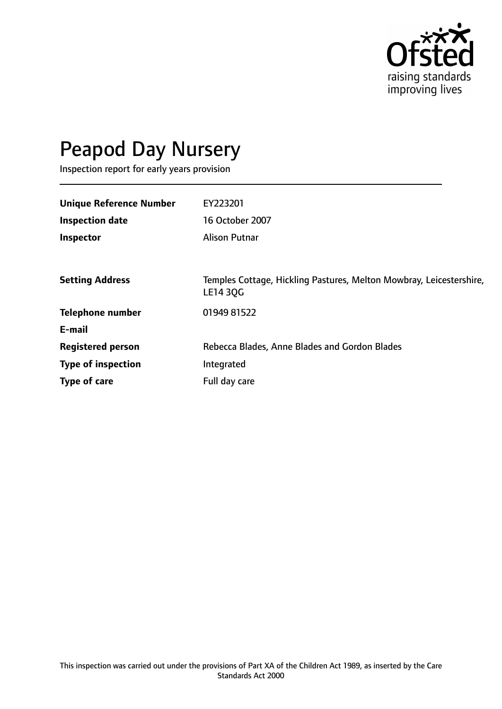

# Peapod Day Nursery

Inspection report for early years provision

| <b>Unique Reference Number</b> | EY223201                                                                               |
|--------------------------------|----------------------------------------------------------------------------------------|
| <b>Inspection date</b>         | 16 October 2007                                                                        |
| Inspector                      | <b>Alison Putnar</b>                                                                   |
|                                |                                                                                        |
| <b>Setting Address</b>         | Temples Cottage, Hickling Pastures, Melton Mowbray, Leicestershire,<br><b>LE14 30G</b> |
| <b>Telephone number</b>        | 01949 81522                                                                            |
| E-mail                         |                                                                                        |
| <b>Registered person</b>       | Rebecca Blades, Anne Blades and Gordon Blades                                          |
| <b>Type of inspection</b>      | Integrated                                                                             |
| Type of care                   | Full day care                                                                          |
|                                |                                                                                        |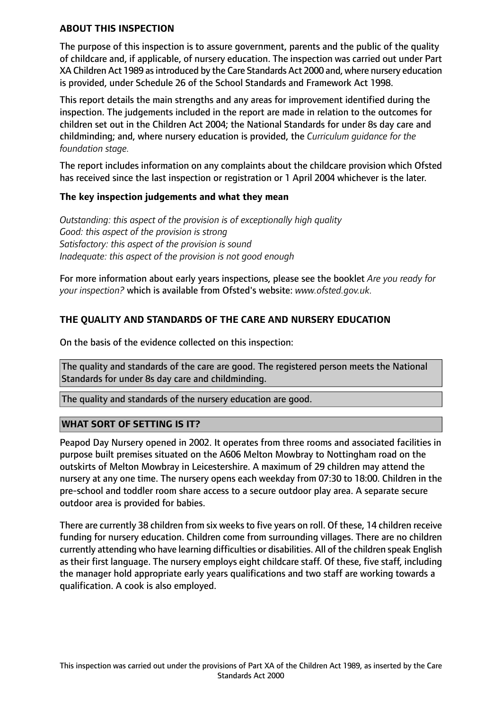#### **ABOUT THIS INSPECTION**

The purpose of this inspection is to assure government, parents and the public of the quality of childcare and, if applicable, of nursery education. The inspection was carried out under Part XA Children Act 1989 as introduced by the Care Standards Act 2000 and, where nursery education is provided, under Schedule 26 of the School Standards and Framework Act 1998.

This report details the main strengths and any areas for improvement identified during the inspection. The judgements included in the report are made in relation to the outcomes for children set out in the Children Act 2004; the National Standards for under 8s day care and childminding; and, where nursery education is provided, the *Curriculum guidance for the foundation stage.*

The report includes information on any complaints about the childcare provision which Ofsted has received since the last inspection or registration or 1 April 2004 whichever is the later.

#### **The key inspection judgements and what they mean**

*Outstanding: this aspect of the provision is of exceptionally high quality Good: this aspect of the provision is strong Satisfactory: this aspect of the provision is sound Inadequate: this aspect of the provision is not good enough*

For more information about early years inspections, please see the booklet *Are you ready for your inspection?* which is available from Ofsted's website: *www.ofsted.gov.uk.*

# **THE QUALITY AND STANDARDS OF THE CARE AND NURSERY EDUCATION**

On the basis of the evidence collected on this inspection:

The quality and standards of the care are good. The registered person meets the National Standards for under 8s day care and childminding.

The quality and standards of the nursery education are good.

#### **WHAT SORT OF SETTING IS IT?**

Peapod Day Nursery opened in 2002. It operates from three rooms and associated facilities in purpose built premises situated on the A606 Melton Mowbray to Nottingham road on the outskirts of Melton Mowbray in Leicestershire. A maximum of 29 children may attend the nursery at any one time. The nursery opens each weekday from 07:30 to 18:00. Children in the pre-school and toddler room share access to a secure outdoor play area. A separate secure outdoor area is provided for babies.

There are currently 38 children from six weeks to five years on roll. Of these, 14 children receive funding for nursery education. Children come from surrounding villages. There are no children currently attending who have learning difficulties or disabilities. All of the children speak English as their first language. The nursery employs eight childcare staff. Of these, five staff, including the manager hold appropriate early years qualifications and two staff are working towards a qualification. A cook is also employed.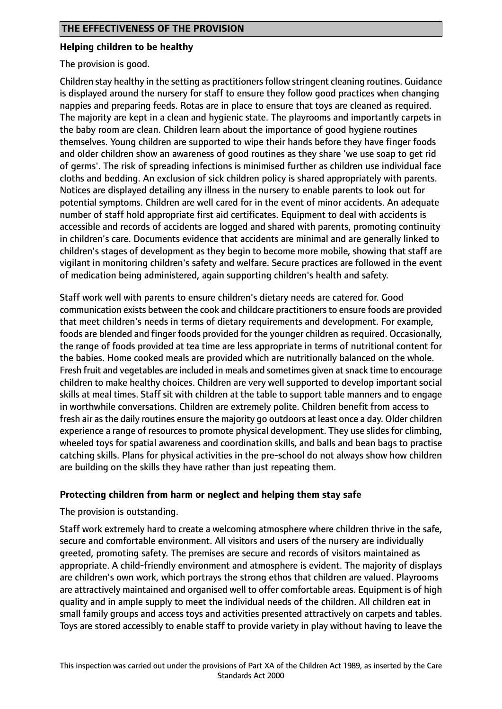#### **Helping children to be healthy**

The provision is good.

Children stay healthy in the setting as practitioners follow stringent cleaning routines. Guidance is displayed around the nursery for staff to ensure they follow good practices when changing nappies and preparing feeds. Rotas are in place to ensure that toys are cleaned as required. The majority are kept in a clean and hygienic state. The playrooms and importantly carpets in the baby room are clean. Children learn about the importance of good hygiene routines themselves. Young children are supported to wipe their hands before they have finger foods and older children show an awareness of good routines as they share 'we use soap to get rid of germs'. The risk of spreading infections is minimised further as children use individual face cloths and bedding. An exclusion of sick children policy is shared appropriately with parents. Notices are displayed detailing any illness in the nursery to enable parents to look out for potential symptoms. Children are well cared for in the event of minor accidents. An adequate number of staff hold appropriate first aid certificates. Equipment to deal with accidents is accessible and records of accidents are logged and shared with parents, promoting continuity in children's care. Documents evidence that accidents are minimal and are generally linked to children's stages of development as they begin to become more mobile, showing that staff are vigilant in monitoring children's safety and welfare. Secure practices are followed in the event of medication being administered, again supporting children's health and safety.

Staff work well with parents to ensure children's dietary needs are catered for. Good communication exists between the cook and childcare practitioners to ensure foods are provided that meet children's needs in terms of dietary requirements and development. For example, foods are blended and finger foods provided for the younger children as required. Occasionally, the range of foods provided at tea time are less appropriate in terms of nutritional content for the babies. Home cooked meals are provided which are nutritionally balanced on the whole. Fresh fruit and vegetables are included in meals and sometimes given at snack time to encourage children to make healthy choices. Children are very well supported to develop important social skills at meal times. Staff sit with children at the table to support table manners and to engage in worthwhile conversations. Children are extremely polite. Children benefit from access to fresh air as the daily routines ensure the majority go outdoors at least once a day. Older children experience a range of resources to promote physical development. They use slides for climbing, wheeled toys for spatial awareness and coordination skills, and balls and bean bags to practise catching skills. Plans for physical activities in the pre-school do not always show how children are building on the skills they have rather than just repeating them.

#### **Protecting children from harm or neglect and helping them stay safe**

The provision is outstanding.

Staff work extremely hard to create a welcoming atmosphere where children thrive in the safe, secure and comfortable environment. All visitors and users of the nursery are individually greeted, promoting safety. The premises are secure and records of visitors maintained as appropriate. A child-friendly environment and atmosphere is evident. The majority of displays are children's own work, which portrays the strong ethos that children are valued. Playrooms are attractively maintained and organised well to offer comfortable areas. Equipment is of high quality and in ample supply to meet the individual needs of the children. All children eat in small family groups and access toys and activities presented attractively on carpets and tables. Toys are stored accessibly to enable staff to provide variety in play without having to leave the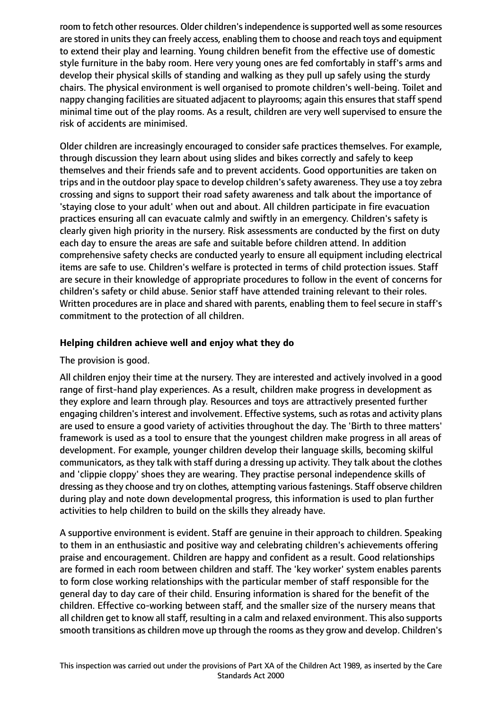room to fetch other resources. Older children's independence is supported well as some resources are stored in units they can freely access, enabling them to choose and reach toys and equipment to extend their play and learning. Young children benefit from the effective use of domestic style furniture in the baby room. Here very young ones are fed comfortably in staff's arms and develop their physical skills of standing and walking as they pull up safely using the sturdy chairs. The physical environment is well organised to promote children's well-being. Toilet and nappy changing facilities are situated adjacent to playrooms; again this ensures that staff spend minimal time out of the play rooms. As a result, children are very well supervised to ensure the risk of accidents are minimised.

Older children are increasingly encouraged to consider safe practices themselves. For example, through discussion they learn about using slides and bikes correctly and safely to keep themselves and their friends safe and to prevent accidents. Good opportunities are taken on trips and in the outdoor play space to develop children's safety awareness. They use a toy zebra crossing and signs to support their road safety awareness and talk about the importance of 'staying close to your adult' when out and about. All children participate in fire evacuation practices ensuring all can evacuate calmly and swiftly in an emergency. Children's safety is clearly given high priority in the nursery. Risk assessments are conducted by the first on duty each day to ensure the areas are safe and suitable before children attend. In addition comprehensive safety checks are conducted yearly to ensure all equipment including electrical items are safe to use. Children's welfare is protected in terms of child protection issues. Staff are secure in their knowledge of appropriate procedures to follow in the event of concerns for children's safety or child abuse. Senior staff have attended training relevant to their roles. Written procedures are in place and shared with parents, enabling them to feel secure in staff's commitment to the protection of all children.

# **Helping children achieve well and enjoy what they do**

The provision is good.

All children enjoy their time at the nursery. They are interested and actively involved in a good range of first-hand play experiences. As a result, children make progress in development as they explore and learn through play. Resources and toys are attractively presented further engaging children's interest and involvement. Effective systems, such as rotas and activity plans are used to ensure a good variety of activities throughout the day. The 'Birth to three matters' framework is used as a tool to ensure that the youngest children make progress in all areas of development. For example, younger children develop their language skills, becoming skilful communicators, asthey talk with staff during a dressing up activity. They talk about the clothes and 'clippie cloppy' shoes they are wearing. They practise personal independence skills of dressing as they choose and try on clothes, attempting various fastenings. Staff observe children during play and note down developmental progress, this information is used to plan further activities to help children to build on the skills they already have.

A supportive environment is evident. Staff are genuine in their approach to children. Speaking to them in an enthusiastic and positive way and celebrating children's achievements offering praise and encouragement. Children are happy and confident as a result. Good relationships are formed in each room between children and staff. The 'key worker' system enables parents to form close working relationships with the particular member of staff responsible for the general day to day care of their child. Ensuring information is shared for the benefit of the children. Effective co-working between staff, and the smaller size of the nursery means that all children get to know all staff, resulting in a calm and relaxed environment. This also supports smooth transitions as children move up through the rooms as they grow and develop. Children's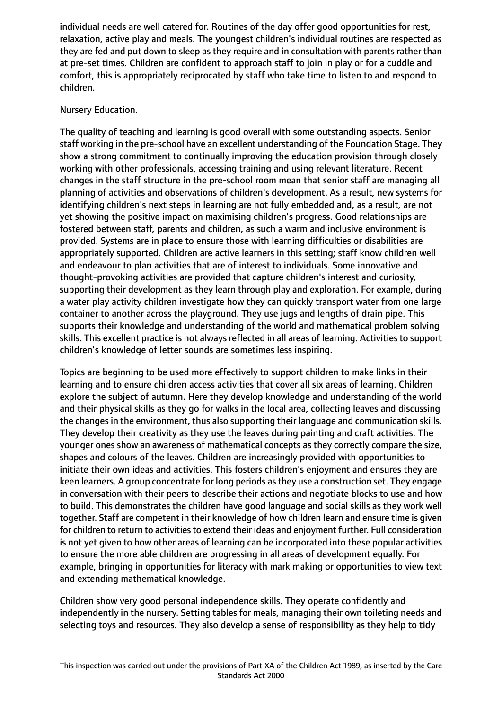individual needs are well catered for. Routines of the day offer good opportunities for rest, relaxation, active play and meals. The youngest children's individual routines are respected as they are fed and put down to sleep as they require and in consultation with parents rather than at pre-set times. Children are confident to approach staff to join in play or for a cuddle and comfort, this is appropriately reciprocated by staff who take time to listen to and respond to children.

# Nursery Education.

The quality of teaching and learning is good overall with some outstanding aspects. Senior staff working in the pre-school have an excellent understanding of the Foundation Stage. They show a strong commitment to continually improving the education provision through closely working with other professionals, accessing training and using relevant literature. Recent changes in the staff structure in the pre-school room mean that senior staff are managing all planning of activities and observations of children's development. As a result, new systems for identifying children's next steps in learning are not fully embedded and, as a result, are not yet showing the positive impact on maximising children's progress. Good relationships are fostered between staff, parents and children, as such a warm and inclusive environment is provided. Systems are in place to ensure those with learning difficulties or disabilities are appropriately supported. Children are active learners in this setting; staff know children well and endeavour to plan activities that are of interest to individuals. Some innovative and thought-provoking activities are provided that capture children's interest and curiosity, supporting their development as they learn through play and exploration. For example, during a water play activity children investigate how they can quickly transport water from one large container to another across the playground. They use jugs and lengths of drain pipe. This supports their knowledge and understanding of the world and mathematical problem solving skills. This excellent practice is not always reflected in all areas of learning. Activities to support children's knowledge of letter sounds are sometimes less inspiring.

Topics are beginning to be used more effectively to support children to make links in their learning and to ensure children access activities that cover all six areas of learning. Children explore the subject of autumn. Here they develop knowledge and understanding of the world and their physical skills as they go for walks in the local area, collecting leaves and discussing the changes in the environment, thus also supporting their language and communication skills. They develop their creativity as they use the leaves during painting and craft activities. The younger ones show an awareness of mathematical concepts as they correctly compare the size, shapes and colours of the leaves. Children are increasingly provided with opportunities to initiate their own ideas and activities. This fosters children's enjoyment and ensures they are keen learners. A group concentrate for long periods asthey use a construction set. They engage in conversation with their peers to describe their actions and negotiate blocks to use and how to build. This demonstrates the children have good language and social skills as they work well together. Staff are competent in their knowledge of how children learn and ensure time is given for children to return to activities to extend their ideas and enjoyment further. Full consideration is not yet given to how other areas of learning can be incorporated into these popular activities to ensure the more able children are progressing in all areas of development equally. For example, bringing in opportunities for literacy with mark making or opportunities to view text and extending mathematical knowledge.

Children show very good personal independence skills. They operate confidently and independently in the nursery. Setting tables for meals, managing their own toileting needs and selecting toys and resources. They also develop a sense of responsibility as they help to tidy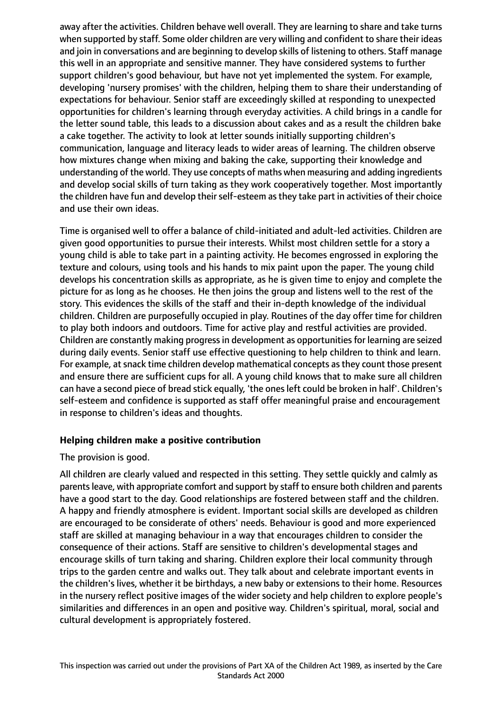away after the activities. Children behave well overall. They are learning to share and take turns when supported by staff. Some older children are very willing and confident to share their ideas and join in conversations and are beginning to develop skills of listening to others. Staff manage this well in an appropriate and sensitive manner. They have considered systems to further support children's good behaviour, but have not yet implemented the system. For example, developing 'nursery promises' with the children, helping them to share their understanding of expectations for behaviour. Senior staff are exceedingly skilled at responding to unexpected opportunities for children's learning through everyday activities. A child brings in a candle for the letter sound table, this leads to a discussion about cakes and as a result the children bake a cake together. The activity to look at letter sounds initially supporting children's communication, language and literacy leads to wider areas of learning. The children observe how mixtures change when mixing and baking the cake, supporting their knowledge and understanding of the world. They use concepts of maths when measuring and adding ingredients and develop social skills of turn taking as they work cooperatively together. Most importantly the children have fun and develop their self-esteem as they take part in activities of their choice and use their own ideas.

Time is organised well to offer a balance of child-initiated and adult-led activities. Children are given good opportunities to pursue their interests. Whilst most children settle for a story a young child is able to take part in a painting activity. He becomes engrossed in exploring the texture and colours, using tools and his hands to mix paint upon the paper. The young child develops his concentration skills as appropriate, as he is given time to enjoy and complete the picture for as long as he chooses. He then joins the group and listens well to the rest of the story. This evidences the skills of the staff and their in-depth knowledge of the individual children. Children are purposefully occupied in play. Routines of the day offer time for children to play both indoors and outdoors. Time for active play and restful activities are provided. Children are constantly making progress in development as opportunities for learning are seized during daily events. Senior staff use effective questioning to help children to think and learn. For example, at snack time children develop mathematical concepts as they count those present and ensure there are sufficient cups for all. A young child knows that to make sure all children can have a second piece of bread stick equally, 'the onesleft could be broken in half'. Children's self-esteem and confidence is supported as staff offer meaningful praise and encouragement in response to children's ideas and thoughts.

#### **Helping children make a positive contribution**

#### The provision is good.

All children are clearly valued and respected in this setting. They settle quickly and calmly as parentsleave, with appropriate comfort and support by staff to ensure both children and parents have a good start to the day. Good relationships are fostered between staff and the children. A happy and friendly atmosphere is evident. Important social skills are developed as children are encouraged to be considerate of others' needs. Behaviour is good and more experienced staff are skilled at managing behaviour in a way that encourages children to consider the consequence of their actions. Staff are sensitive to children's developmental stages and encourage skills of turn taking and sharing. Children explore their local community through trips to the garden centre and walks out. They talk about and celebrate important events in the children's lives, whether it be birthdays, a new baby or extensions to their home. Resources in the nursery reflect positive images of the wider society and help children to explore people's similarities and differences in an open and positive way. Children's spiritual, moral, social and cultural development is appropriately fostered.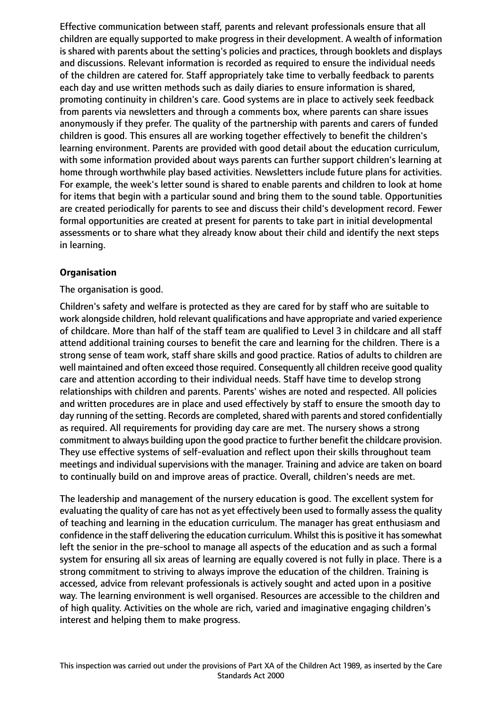Effective communication between staff, parents and relevant professionals ensure that all children are equally supported to make progress in their development. A wealth of information is shared with parents about the setting's policies and practices, through booklets and displays and discussions. Relevant information is recorded as required to ensure the individual needs of the children are catered for. Staff appropriately take time to verbally feedback to parents each day and use written methods such as daily diaries to ensure information is shared, promoting continuity in children's care. Good systems are in place to actively seek feedback from parents via newsletters and through a comments box, where parents can share issues anonymously if they prefer. The quality of the partnership with parents and carers of funded children is good. This ensures all are working together effectively to benefit the children's learning environment. Parents are provided with good detail about the education curriculum, with some information provided about ways parents can further support children's learning at home through worthwhile play based activities. Newsletters include future plans for activities. For example, the week's letter sound is shared to enable parents and children to look at home for items that begin with a particular sound and bring them to the sound table. Opportunities are created periodically for parents to see and discuss their child's development record. Fewer formal opportunities are created at present for parents to take part in initial developmental assessments or to share what they already know about their child and identify the next steps in learning.

# **Organisation**

#### The organisation is good.

Children's safety and welfare is protected as they are cared for by staff who are suitable to work alongside children, hold relevant qualifications and have appropriate and varied experience of childcare. More than half of the staff team are qualified to Level 3 in childcare and all staff attend additional training courses to benefit the care and learning for the children. There is a strong sense of team work, staff share skills and good practice. Ratios of adults to children are well maintained and often exceed those required. Consequently all children receive good quality care and attention according to their individual needs. Staff have time to develop strong relationships with children and parents. Parents' wishes are noted and respected. All policies and written procedures are in place and used effectively by staff to ensure the smooth day to day running of the setting. Records are completed, shared with parents and stored confidentially as required. All requirements for providing day care are met. The nursery shows a strong commitment to always building upon the good practice to further benefit the childcare provision. They use effective systems of self-evaluation and reflect upon their skills throughout team meetings and individual supervisions with the manager. Training and advice are taken on board to continually build on and improve areas of practice. Overall, children's needs are met.

The leadership and management of the nursery education is good. The excellent system for evaluating the quality of care has not as yet effectively been used to formally assess the quality of teaching and learning in the education curriculum. The manager has great enthusiasm and confidence in the staff delivering the education curriculum. Whilst this is positive it has somewhat left the senior in the pre-school to manage all aspects of the education and as such a formal system for ensuring all six areas of learning are equally covered is not fully in place. There is a strong commitment to striving to always improve the education of the children. Training is accessed, advice from relevant professionals is actively sought and acted upon in a positive way. The learning environment is well organised. Resources are accessible to the children and of high quality. Activities on the whole are rich, varied and imaginative engaging children's interest and helping them to make progress.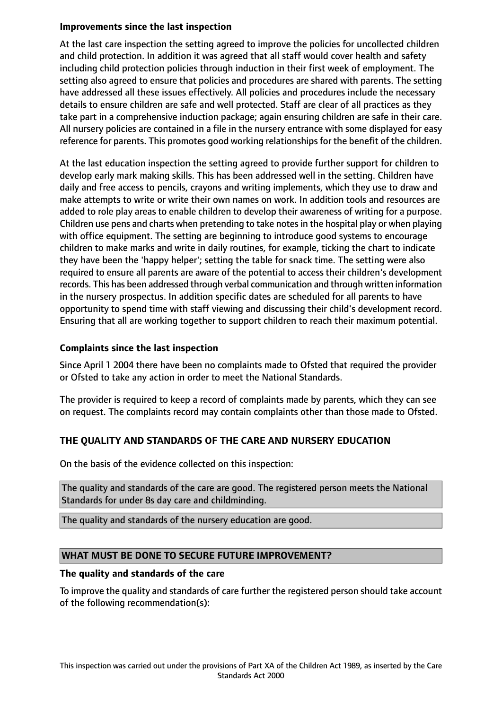#### **Improvements since the last inspection**

At the last care inspection the setting agreed to improve the policies for uncollected children and child protection. In addition it was agreed that all staff would cover health and safety including child protection policies through induction in their first week of employment. The setting also agreed to ensure that policies and procedures are shared with parents. The setting have addressed all these issues effectively. All policies and procedures include the necessary details to ensure children are safe and well protected. Staff are clear of all practices as they take part in a comprehensive induction package; again ensuring children are safe in their care. All nursery policies are contained in a file in the nursery entrance with some displayed for easy reference for parents. This promotes good working relationships for the benefit of the children.

At the last education inspection the setting agreed to provide further support for children to develop early mark making skills. This has been addressed well in the setting. Children have daily and free access to pencils, crayons and writing implements, which they use to draw and make attempts to write or write their own names on work. In addition tools and resources are added to role play areas to enable children to develop their awareness of writing for a purpose. Children use pens and charts when pretending to take notesin the hospital play or when playing with office equipment. The setting are beginning to introduce good systems to encourage children to make marks and write in daily routines, for example, ticking the chart to indicate they have been the 'happy helper'; setting the table for snack time. The setting were also required to ensure all parents are aware of the potential to access their children's development records. This has been addressed through verbal communication and through written information in the nursery prospectus. In addition specific dates are scheduled for all parents to have opportunity to spend time with staff viewing and discussing their child's development record. Ensuring that all are working together to support children to reach their maximum potential.

# **Complaints since the last inspection**

Since April 1 2004 there have been no complaints made to Ofsted that required the provider or Ofsted to take any action in order to meet the National Standards.

The provider is required to keep a record of complaints made by parents, which they can see on request. The complaints record may contain complaints other than those made to Ofsted.

# **THE QUALITY AND STANDARDS OF THE CARE AND NURSERY EDUCATION**

On the basis of the evidence collected on this inspection:

The quality and standards of the care are good. The registered person meets the National Standards for under 8s day care and childminding.

The quality and standards of the nursery education are good.

#### **WHAT MUST BE DONE TO SECURE FUTURE IMPROVEMENT?**

#### **The quality and standards of the care**

To improve the quality and standards of care further the registered person should take account of the following recommendation(s):